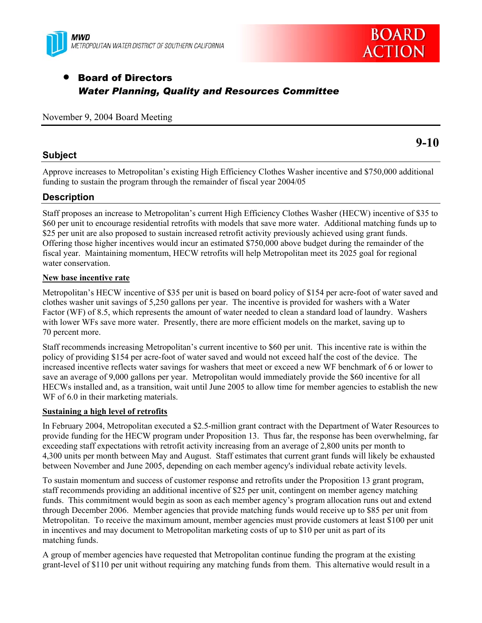



# • Board of Directors *Water Planning, Quality and Resources Committee*

## November 9, 2004 Board Meeting

# **9-10**

## **Subject**

Approve increases to Metropolitan's existing High Efficiency Clothes Washer incentive and \$750,000 additional funding to sustain the program through the remainder of fiscal year 2004/05

# **Description**

Staff proposes an increase to Metropolitan's current High Efficiency Clothes Washer (HECW) incentive of \$35 to \$60 per unit to encourage residential retrofits with models that save more water. Additional matching funds up to \$25 per unit are also proposed to sustain increased retrofit activity previously achieved using grant funds. Offering those higher incentives would incur an estimated \$750,000 above budget during the remainder of the fiscal year. Maintaining momentum, HECW retrofits will help Metropolitan meet its 2025 goal for regional water conservation.

## **New base incentive rate**

Metropolitan's HECW incentive of \$35 per unit is based on board policy of \$154 per acre-foot of water saved and clothes washer unit savings of 5,250 gallons per year. The incentive is provided for washers with a Water Factor (WF) of 8.5, which represents the amount of water needed to clean a standard load of laundry. Washers with lower WFs save more water. Presently, there are more efficient models on the market, saving up to 70 percent more.

Staff recommends increasing Metropolitan's current incentive to \$60 per unit. This incentive rate is within the policy of providing \$154 per acre-foot of water saved and would not exceed half the cost of the device. The increased incentive reflects water savings for washers that meet or exceed a new WF benchmark of 6 or lower to save an average of 9,000 gallons per year. Metropolitan would immediately provide the \$60 incentive for all HECWs installed and, as a transition, wait until June 2005 to allow time for member agencies to establish the new WF of 6.0 in their marketing materials.

## **Sustaining a high level of retrofits**

In February 2004, Metropolitan executed a \$2.5-million grant contract with the Department of Water Resources to provide funding for the HECW program under Proposition 13. Thus far, the response has been overwhelming, far exceeding staff expectations with retrofit activity increasing from an average of 2,800 units per month to 4,300 units per month between May and August. Staff estimates that current grant funds will likely be exhausted between November and June 2005, depending on each member agency's individual rebate activity levels.

To sustain momentum and success of customer response and retrofits under the Proposition 13 grant program, staff recommends providing an additional incentive of \$25 per unit, contingent on member agency matching funds. This commitment would begin as soon as each member agency's program allocation runs out and extend through December 2006. Member agencies that provide matching funds would receive up to \$85 per unit from Metropolitan. To receive the maximum amount, member agencies must provide customers at least \$100 per unit in incentives and may document to Metropolitan marketing costs of up to \$10 per unit as part of its matching funds.

A group of member agencies have requested that Metropolitan continue funding the program at the existing grant-level of \$110 per unit without requiring any matching funds from them. This alternative would result in a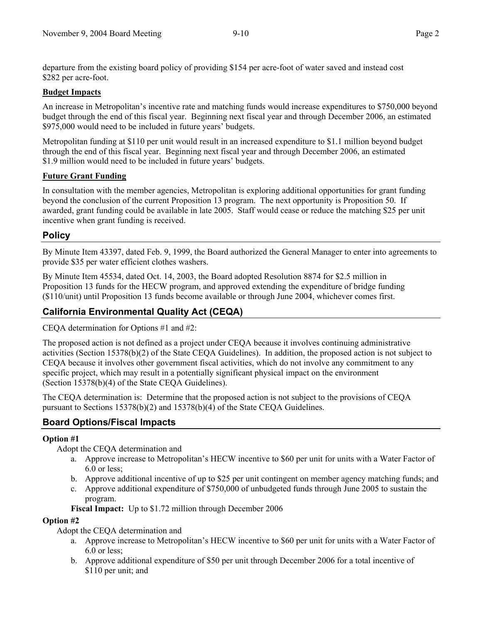departure from the existing board policy of providing \$154 per acre-foot of water saved and instead cost \$282 per acre-foot.

#### **Budget Impacts**

An increase in Metropolitan's incentive rate and matching funds would increase expenditures to \$750,000 beyond budget through the end of this fiscal year. Beginning next fiscal year and through December 2006, an estimated \$975,000 would need to be included in future years' budgets.

Metropolitan funding at \$110 per unit would result in an increased expenditure to \$1.1 million beyond budget through the end of this fiscal year. Beginning next fiscal year and through December 2006, an estimated \$1.9 million would need to be included in future years' budgets.

#### **Future Grant Funding**

In consultation with the member agencies, Metropolitan is exploring additional opportunities for grant funding beyond the conclusion of the current Proposition 13 program. The next opportunity is Proposition 50. If awarded, grant funding could be available in late 2005. Staff would cease or reduce the matching \$25 per unit incentive when grant funding is received.

## **Policy**

By Minute Item 43397, dated Feb. 9, 1999, the Board authorized the General Manager to enter into agreements to provide \$35 per water efficient clothes washers.

By Minute Item 45534, dated Oct. 14, 2003, the Board adopted Resolution 8874 for \$2.5 million in Proposition 13 funds for the HECW program, and approved extending the expenditure of bridge funding (\$110/unit) until Proposition 13 funds become available or through June 2004, whichever comes first.

## **California Environmental Quality Act (CEQA)**

CEQA determination for Options #1 and #2:

The proposed action is not defined as a project under CEQA because it involves continuing administrative activities (Section 15378(b)(2) of the State CEQA Guidelines). In addition, the proposed action is not subject to CEQA because it involves other government fiscal activities, which do not involve any commitment to any specific project, which may result in a potentially significant physical impact on the environment (Section 15378(b)(4) of the State CEQA Guidelines).

The CEQA determination is: Determine that the proposed action is not subject to the provisions of CEQA pursuant to Sections 15378(b)(2) and 15378(b)(4) of the State CEQA Guidelines.

## **Board Options/Fiscal Impacts**

#### **Option #1**

Adopt the CEQA determination and

- a. Approve increase to Metropolitan's HECW incentive to \$60 per unit for units with a Water Factor of 6.0 or less;
- b. Approve additional incentive of up to \$25 per unit contingent on member agency matching funds; and
- c. Approve additional expenditure of \$750,000 of unbudgeted funds through June 2005 to sustain the program.

**Fiscal Impact:** Up to \$1.72 million through December 2006

#### **Option #2**

Adopt the CEQA determination and

- a. Approve increase to Metropolitan's HECW incentive to \$60 per unit for units with a Water Factor of 6.0 or less;
- b. Approve additional expenditure of \$50 per unit through December 2006 for a total incentive of \$110 per unit; and